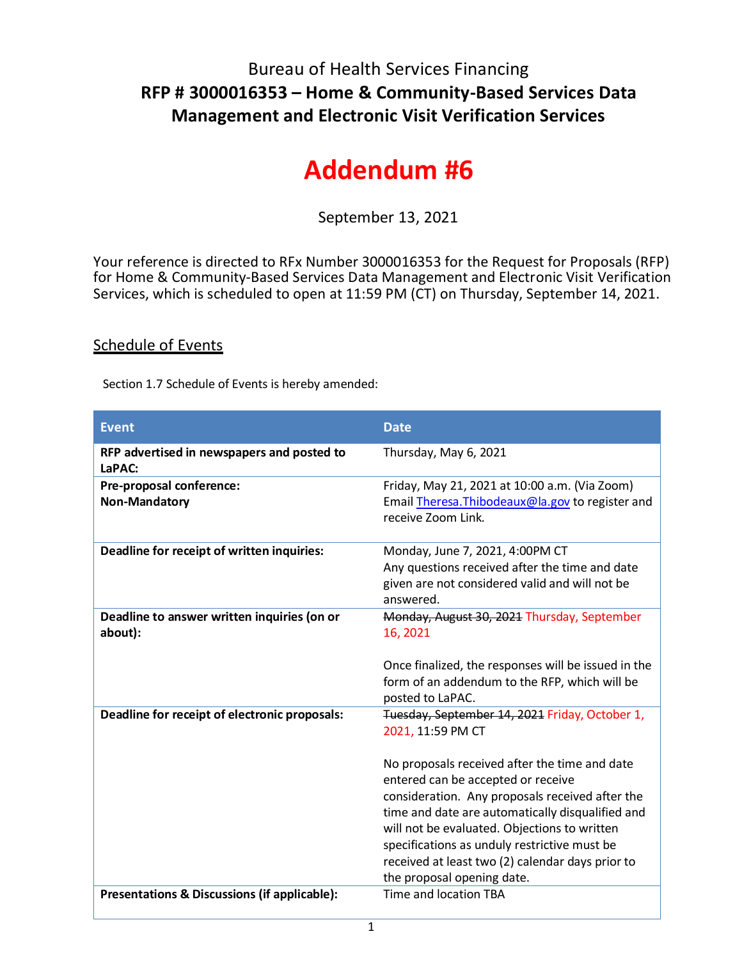## Bureau of Health Services Financing **RFP # 3000016353 – Home & Community-Based Services Data Management and Electronic Visit Verification Services**

## **Addendum #6**

September 13, 2021

Your reference is directed to RFx Number 3000016353 for the Request for Proposals (RFP) for Home & Community-Based Services Data Management and Electronic Visit Verification Services, which is scheduled to open at 11:59 PM (CT) on Thursday, September 14, 2021.

## Schedule of Events

Section 1.7 Schedule of Events is hereby amended:

| <b>Event</b>                                           | <b>Date</b>                                                                                                                                                                                                                                                                                                                                                                                                                                         |
|--------------------------------------------------------|-----------------------------------------------------------------------------------------------------------------------------------------------------------------------------------------------------------------------------------------------------------------------------------------------------------------------------------------------------------------------------------------------------------------------------------------------------|
| RFP advertised in newspapers and posted to<br>LaPAC:   | Thursday, May 6, 2021                                                                                                                                                                                                                                                                                                                                                                                                                               |
| Pre-proposal conference:<br>Non-Mandatory              | Friday, May 21, 2021 at 10:00 a.m. (Via Zoom)<br>Email Theresa. Thibodeaux@la.gov to register and<br>receive Zoom Link.                                                                                                                                                                                                                                                                                                                             |
| Deadline for receipt of written inquiries:             | Monday, June 7, 2021, 4:00PM CT<br>Any questions received after the time and date<br>given are not considered valid and will not be<br>answered.                                                                                                                                                                                                                                                                                                    |
| Deadline to answer written inquiries (on or<br>about): | Monday, August 30, 2021 Thursday, September<br>16, 2021<br>Once finalized, the responses will be issued in the<br>form of an addendum to the RFP, which will be<br>posted to LaPAC.                                                                                                                                                                                                                                                                 |
| Deadline for receipt of electronic proposals:          | Tuesday, September 14, 2021 Friday, October 1,<br>2021, 11:59 PM CT<br>No proposals received after the time and date<br>entered can be accepted or receive<br>consideration. Any proposals received after the<br>time and date are automatically disqualified and<br>will not be evaluated. Objections to written<br>specifications as unduly restrictive must be<br>received at least two (2) calendar days prior to<br>the proposal opening date. |
| Presentations & Discussions (if applicable):           | Time and location TBA                                                                                                                                                                                                                                                                                                                                                                                                                               |